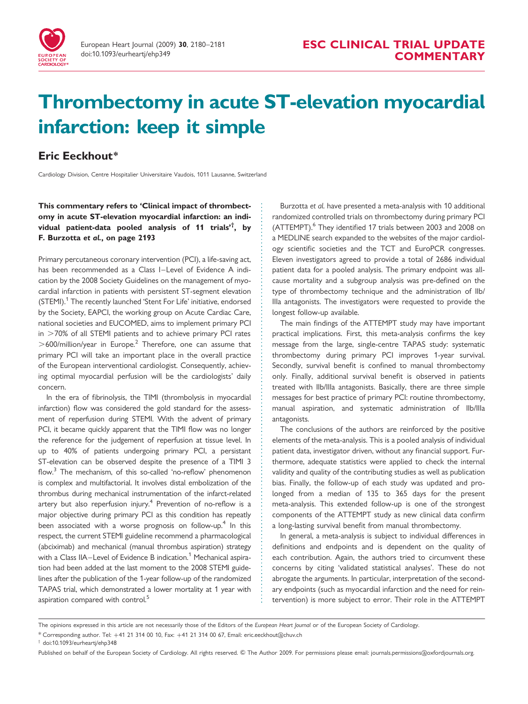

# Thrombectomy in acute ST-elevation myocardial infarction: keep it simple

# Eric Eeckhout\*

Cardiology Division, Centre Hospitalier Universitaire Vaudois, 1011 Lausanne, Switzerland

## This commentary refers to 'Clinical impact of thrombectomy in acute ST-elevation myocardial infarction: an individual patient-data pooled analysis of 11 trials'† , by F. Burzotta et al., on page 2193

Primary percutaneous coronary intervention (PCI), a life-saving act, has been recommended as a Class I–Level of Evidence A indication by the 2008 Society Guidelines on the management of myocardial infarction in patients with persistent ST-segment elevation (STEMI).<sup>1</sup> The recently launched 'Stent For Life' initiative, endorsed by the Society, EAPCI, the working group on Acute Cardiac Care, national societies and EUCOMED, aims to implement primary PCI  $in$   $>70\%$  of all STEMI patients and to achieve primary PCI rates  $>600$ /million/year in Europe.<sup>2</sup> Therefore, one can assume that primary PCI will take an important place in the overall practice of the European interventional cardiologist. Consequently, achieving optimal myocardial perfusion will be the cardiologists' daily concern.

In the era of fibrinolysis, the TIMI (thrombolysis in myocardial infarction) flow was considered the gold standard for the assessment of reperfusion during STEMI. With the advent of primary PCI, it became quickly apparent that the TIMI flow was no longer the reference for the judgement of reperfusion at tissue level. In up to 40% of patients undergoing primary PCI, a persistant ST-elevation can be observed despite the presence of a TIMI 3 flow.<sup>3</sup> The mechanism, of this so-called 'no-reflow' phenomenon is complex and multifactorial. It involves distal embolization of the thrombus during mechanical instrumentation of the infarct-related artery but also reperfusion injury.<sup>4</sup> Prevention of no-reflow is a major objective during primary PCI as this condition has repeatly been associated with a worse prognosis on follow-up.<sup>4</sup> In this respect, the current STEMI guideline recommend a pharmacological (abciximab) and mechanical (manual thrombus aspiration) strategy with a Class IIA–Level of Evidence B indication.<sup>1</sup> Mechanical aspiration had been added at the last moment to the 2008 STEMI guidelines after the publication of the 1-year follow-up of the randomized TAPAS trial, which demonstrated a lower mortality at 1 year with aspiration compared with control.<sup>5</sup>

Burzotta et al. have presented a meta-analysis with 10 additional randomized controlled trials on thrombectomy during primary PCI (ATTEMPT).<sup>6</sup> They identified 17 trials between 2003 and 2008 on a MEDLINE search expanded to the websites of the major cardiology scientific societies and the TCT and EuroPCR congresses. Eleven investigators agreed to provide a total of 2686 individual patient data for a pooled analysis. The primary endpoint was allcause mortality and a subgroup analysis was pre-defined on the type of thrombectomy technique and the administration of IIb/ Illa antagonists. The investigators were requested to provide the longest follow-up available.

The main findings of the ATTEMPT study may have important practical implications. First, this meta-analysis confirms the key message from the large, single-centre TAPAS study: systematic thrombectomy during primary PCI improves 1-year survival. Secondly, survival benefit is confined to manual thrombectomy only. Finally, additional survival benefit is observed in patients treated with IIb/IIIa antagonists. Basically, there are three simple messages for best practice of primary PCI: routine thrombectomy, manual aspiration, and systematic administration of IIb/IIIa antagonists.

The conclusions of the authors are reinforced by the positive elements of the meta-analysis. This is a pooled analysis of individual patient data, investigator driven, without any financial support. Furthermore, adequate statistics were applied to check the internal validity and quality of the contributing studies as well as publication bias. Finally, the follow-up of each study was updated and prolonged from a median of 135 to 365 days for the present meta-analysis. This extended follow-up is one of the strongest components of the ATTEMPT study as new clinical data confirm a long-lasting survival benefit from manual thrombectomy.

In general, a meta-analysis is subject to individual differences in definitions and endpoints and is dependent on the quality of each contribution. Again, the authors tried to circumvent these concerns by citing 'validated statistical analyses'. These do not abrogate the arguments. In particular, interpretation of the secondary endpoints (such as myocardial infarction and the need for reintervention) is more subject to error. Their role in the ATTEMPT

\* Corresponding author. Tel: +41 21 314 00 10, Fax: +41 21 314 00 67, Email: eric.eeckhout@chuv.ch

The opinions expressed in this article are not necessarily those of the Editors of the European Heart Journal or of the European Society of Cardiology.

<sup>†</sup> doi:10.1093/eurheartj/ehp348

Published on behalf of the European Society of Cardiology. All rights reserved. © The Author 2009. For permissions please email: journals.permissions@oxfordjournals.org.